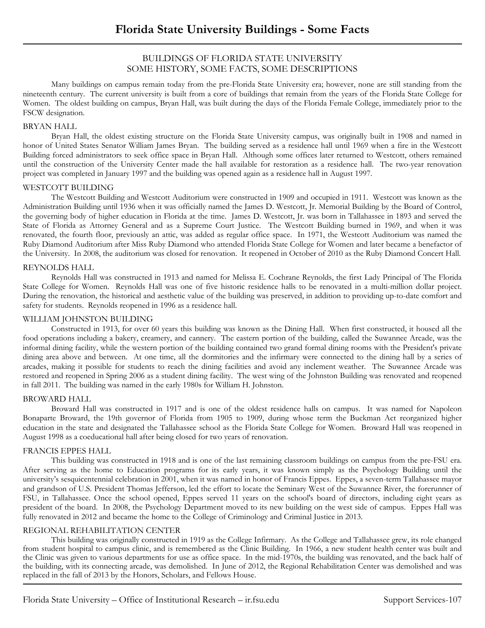# BUILDINGS OF FLORIDA STATE UNIVERSITY SOME HISTORY, SOME FACTS, SOME DESCRIPTIONS

Many buildings on campus remain today from the pre-Florida State University era; however, none are still standing from the nineteenth century. The current university is built from a core of buildings that remain from the years of the Florida State College for Women. The oldest building on campus, Bryan Hall, was built during the days of the Florida Female College, immediately prior to the FSCW designation.

# BRYAN HALL

Bryan Hall, the oldest existing structure on the Florida State University campus, was originally built in 1908 and named in honor of United States Senator William James Bryan. The building served as a residence hall until 1969 when a fire in the Westcott Building forced administrators to seek office space in Bryan Hall. Although some offices later returned to Westcott, others remained until the construction of the University Center made the hall available for restoration as a residence hall. The two-year renovation project was completed in January 1997 and the building was opened again as a residence hall in August 1997.

# WESTCOTT BUILDING

The Westcott Building and Westcott Auditorium were constructed in 1909 and occupied in 1911. Westcott was known as the Administration Building until 1936 when it was officially named the James D. Westcott, Jr. Memorial Building by the Board of Control, the governing body of higher education in Florida at the time. James D. Westcott, Jr. was born in Tallahassee in 1893 and served the State of Florida as Attorney General and as a Supreme Court Justice. The Westcott Building burned in 1969, and when it was renovated, the fourth floor, previously an attic, was added as regular office space. In 1971, the Westcott Auditorium was named the Ruby Diamond Auditorium after Miss Ruby Diamond who attended Florida State College for Women and later became a benefactor of the University. In 2008, the auditorium was closed for renovation. It reopened in October of 2010 as the Ruby Diamond Concert Hall.

# REYNOLDS HALL

Reynolds Hall was constructed in 1913 and named for Melissa E. Cochrane Reynolds, the first Lady Principal of The Florida State College for Women. Reynolds Hall was one of five historic residence halls to be renovated in a multi-million dollar project. During the renovation, the historical and aesthetic value of the building was preserved, in addition to providing up-to-date comfort and safety for students. Reynolds reopened in 1996 as a residence hall.

# WILLIAM JOHNSTON BUILDING

Constructed in 1913, for over 60 years this building was known as the Dining Hall. When first constructed, it housed all the food operations including a bakery, creamery, and cannery. The eastern portion of the building, called the Suwannee Arcade, was the informal dining facility, while the western portion of the building contained two grand formal dining rooms with the President's private dining area above and between. At one time, all the dormitories and the infirmary were connected to the dining hall by a series of arcades, making it possible for students to reach the dining facilities and avoid any inclement weather. The Suwannee Arcade was restored and reopened in Spring 2006 as a student dining facility. The west wing of the Johnston Building was renovated and reopened in fall 2011. The building was named in the early 1980s for William H. Johnston.

# BROWARD HALL

Broward Hall was constructed in 1917 and is one of the oldest residence halls on campus. It was named for Napoleon Bonaparte Broward, the 19th governor of Florida from 1905 to 1909, during whose term the Buckman Act reorganized higher education in the state and designated the Tallahassee school as the Florida State College for Women. Broward Hall was reopened in August 1998 as a coeducational hall after being closed for two years of renovation.

# FRANCIS EPPES HALL

This building was constructed in 1918 and is one of the last remaining classroom buildings on campus from the pre-FSU era. After serving as the home to Education programs for its early years, it was known simply as the Psychology Building until the university's sesquicentennial celebration in 2001, when it was named in honor of Francis Eppes. Eppes, a seven-term Tallahassee mayor and grandson of U.S. President Thomas Jefferson, led the effort to locate the Seminary West of the Suwannee River, the forerunner of FSU, in Tallahassee. Once the school opened, Eppes served 11 years on the school's board of directors, including eight years as president of the board. In 2008, the Psychology Department moved to its new building on the west side of campus. Eppes Hall was fully renovated in 2012 and became the home to the College of Criminology and Criminal Justice in 2013.

# REGIONAL REHABILITATION CENTER

This building was originally constructed in 1919 as the College Infirmary. As the College and Tallahassee grew, its role changed from student hospital to campus clinic, and is remembered as the Clinic Building. In 1966, a new student health center was built and the Clinic was given to various departments for use as office space. In the mid-1970s, the building was renovated, and the back half of the building, with its connecting arcade, was demolished. In June of 2012, the Regional Rehabilitation Center was demolished and was replaced in the fall of 2013 by the Honors, Scholars, and Fellows House.